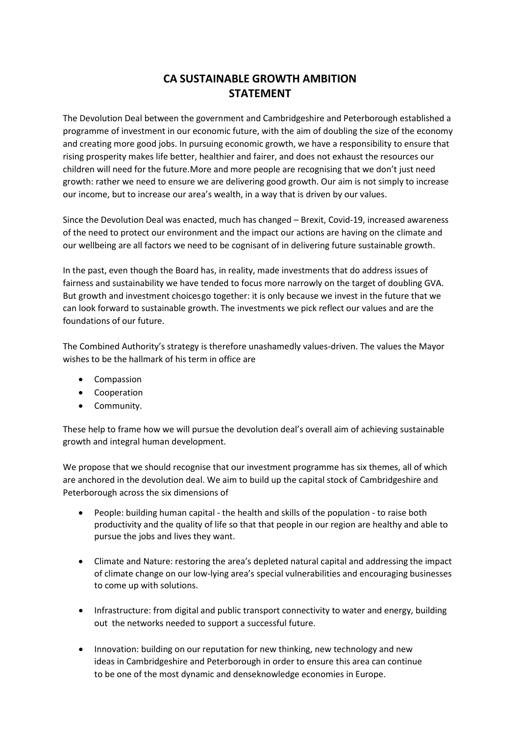## **CA SUSTAINABLE GROWTH AMBITION STATEMENT**

The Devolution Deal between the government and Cambridgeshire and Peterborough established a programme of investment in our economic future, with the aim of doubling the size of the economy and creating more good jobs. In pursuing economic growth, we have a responsibility to ensure that rising prosperity makes life better, healthier and fairer, and does not exhaust the resources our children will need for the future. More and more people are recognising that we don't just need growth: rather we need to ensure we are delivering good growth. Our aim is not simply to increase our income, but to increase our area's wealth, in a way that is driven by our values.

Since the Devolution Deal was enacted, much has changed – Brexit, Covid-19, increased awareness of the need to protect our environment and the impact our actions are having on the climate and our wellbeing are all factors we need to be cognisant of in delivering future sustainable growth.

In the past, even though the Board has, in reality, made investments that do address issues of fairness and sustainability we have tended to focus more narrowly on the target of doubling GVA. But growth and investment choices go together: it is only because we invest in the future that we can look forward to sustainable growth. The investments we pick reflect our values and are the foundations of our future.

The Combined Authority's strategy is therefore unashamedly values-driven. The values the Mayor wishes to be the hallmark of his term in office are

- Compassion
- Cooperation
- Community.

These help to frame how we will pursue the devolution deal's overall aim of achieving sustainable growth and integral human development.

We propose that we should recognise that our investment programme has six themes, all of which are anchored in the devolution deal. We aim to build up the capital stock of Cambridgeshire and Peterborough across the six dimensions of

- People: building human capital the health and skills of the population to raise both productivity and the quality of life so that that people in our region are healthy and able to pursue the jobs and lives they want.
- Climate and Nature: restoring the area's depleted natural capital and addressing the impact of climate change on our low-lying area's special vulnerabilities and encouraging businesses to come up with solutions.
- Infrastructure: from digital and public transport connectivity to water and energy, building out the networks needed to support a successful future.
- Innovation: building on our reputation for new thinking, new technology and new ideas in Cambridgeshire and Peterborough in order to ensure this area can continue to be one of the most dynamic and denseknowledge economies in Europe.